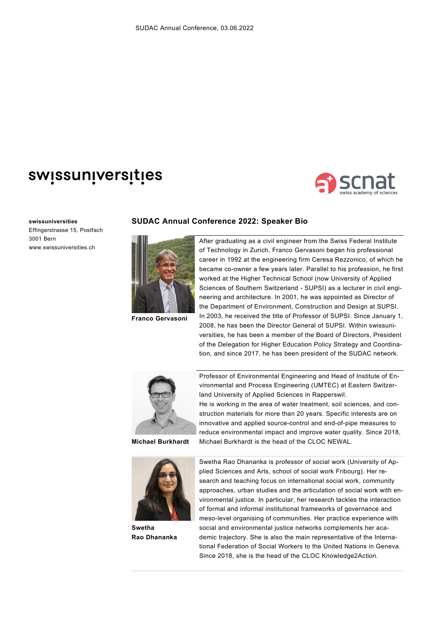## swissuniversities



## **swissuniversities**

Effingerstrasse 15, Postfach 3001 Bern www.swissuniversities.ch

## **SUDAC Annual Conference 2022: Speaker Bio**



**Franco Gervasoni**

After graduating as a civil engineer from the Swiss Federal Institute of Technology in Zurich, Franco Gervasoni began his professional career in 1992 at the engineering firm Ceresa Rezzonico, of which he became co-owner a few years later. Parallel to his profession, he first worked at the Higher Technical School (now University of Applied Sciences of Southern Switzerland - SUPSI) as a lecturer in civil engineering and architecture. In 2001, he was appointed as Director of the Department of Environment, Construction and Design at SUPSI. In 2003, he received the title of Professor of SUPSI. Since January 1, 2008, he has been the Director General of SUPSI. Within swissuniversities, he has been a member of the Board of Directors, President of the Delegation for Higher Education Policy Strategy and Coordination, and since 2017, he has been president of the SUDAC network.



**Michael Burkhardt**



**Swetha Rao Dhananka**

Professor of Environmental Engineering and Head of Institute of Environmental and Process Engineering (UMTEC) at Eastern Switzerland University of Applied Sciences in Rapperswil. He is working in the area of water treatment, soil sciences, and construction materials for more than 20 years. Specific interests are on innovative and applied source-control and end-of-pipe measures to reduce environmental impact and improve water quality. Since 2018,

Michael Burkhardt is the head of the CLOC NEWAL.

Swetha Rao Dhananka is professor of social work (University of Applied Sciences and Arts, school of social work Fribourg). Her research and teaching focus on international social work, community approaches, urban studies and the articulation of social work with environmental justice. In particular, her research tackles the interaction of formal and informal institutional frameworks of governance and meso-level organising of communities. Her practice experience with social and environmental justice networks complements her academic trajectory. She is also the main representative of the International Federation of Social Workers to the United Nations in Geneva. Since 2018, she is the head of the CLOC Knowledge2Action.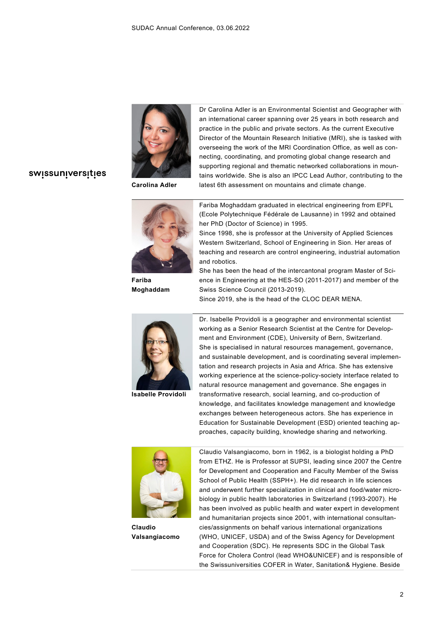

**Carolina Adler**

Dr Carolina Adler is an Environmental Scientist and Geographer with an international career spanning over 25 years in both research and practice in the public and private sectors. As the current Executive Director of the Mountain Research Initiative (MRI), she is tasked with overseeing the work of the MRI Coordination Office, as well as connecting, coordinating, and promoting global change research and supporting regional and thematic networked collaborations in mountains worldwide. She is also an IPCC Lead Author, contributing to the latest 6th assessment on mountains and climate change.

## swissuniversities



**Fariba Moghaddam**

Fariba Moghaddam graduated in electrical engineering from EPFL (Ecole Polytechnique Fédérale de Lausanne) in 1992 and obtained her PhD (Doctor of Science) in 1995.

Since 1998, she is professor at the University of Applied Sciences Western Switzerland, School of Engineering in Sion. Her areas of teaching and research are control engineering, industrial automation and robotics.

She has been the head of the intercantonal program Master of Science in Engineering at the HES-SO (2011-2017) and member of the Swiss Science Council (2013-2019).

Since 2019, she is the head of the CLOC DEAR MENA.



**Isabelle Providoli**

Dr. Isabelle Providoli is a geographer and environmental scientist working as a Senior Research Scientist at the Centre for Development and Environment (CDE), University of Bern, Switzerland. She is specialised in natural resources management, governance, and sustainable development, and is coordinating several implementation and research projects in Asia and Africa. She has extensive working experience at the science-policy-society interface related to natural resource management and governance. She engages in transformative research, social learning, and co-production of knowledge, and facilitates knowledge management and knowledge exchanges between heterogeneous actors. She has experience in Education for Sustainable Development (ESD) oriented teaching approaches, capacity building, knowledge sharing and networking.



**Claudio Valsangiacomo**

Claudio Valsangiacomo, born in 1962, is a biologist holding a PhD from ETHZ. He is Professor at SUPSI, leading since 2007 the Centre for Development and Cooperation and Faculty Member of the Swiss School of Public Health (SSPH+). He did research in life sciences and underwent further specialization in clinical and food/water microbiology in public health laboratories in Switzerland (1993-2007). He has been involved as public health and water expert in development and humanitarian projects since 2001, with international consultancies/assignments on behalf various international organizations (WHO, UNICEF, USDA) and of the Swiss Agency for Development and Cooperation (SDC). He represents SDC in the Global Task Force for Cholera Control (lead WHO&UNICEF) and is responsible of the Swissuniversities COFER in Water, Sanitation& Hygiene. Beside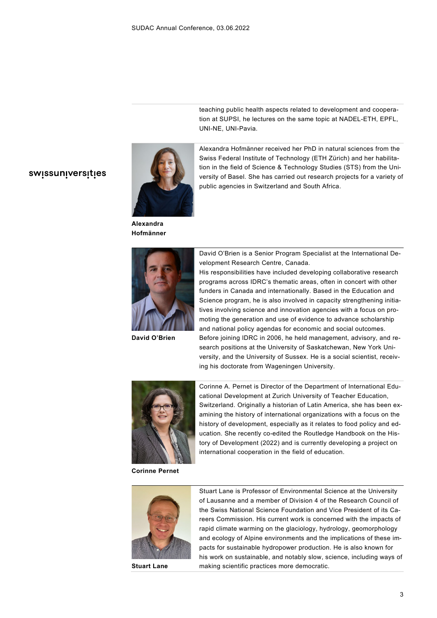swissuniversities



**Alexandra Hofmänner**



**David O'Brien**

teaching public health aspects related to development and cooperation at SUPSI, he lectures on the same topic at NADEL-ETH, EPFL, UNI-NE, UNI-Pavia.

Alexandra Hofmänner received her PhD in natural sciences from the Swiss Federal Institute of Technology (ETH Zürich) and her habilitation in the field of Science & Technology Studies (STS) from the University of Basel. She has carried out research projects for a variety of public agencies in Switzerland and South Africa.

David O'Brien is a Senior Program Specialist at the International Development Research Centre, Canada.

His responsibilities have included developing collaborative research programs across IDRC's thematic areas, often in concert with other funders in Canada and internationally. Based in the Education and Science program, he is also involved in capacity strengthening initiatives involving science and innovation agencies with a focus on promoting the generation and use of evidence to advance scholarship and national policy agendas for economic and social outcomes. Before joining IDRC in 2006, he held management, advisory, and research positions at the University of Saskatchewan, New York University, and the University of Sussex. He is a social scientist, receiving his doctorate from Wageningen University.



**Corinne Pernet**

Corinne A. Pernet is Director of the Department of International Educational Development at Zurich University of Teacher Education, Switzerland. Originally a historian of Latin America, she has been examining the history of international organizations with a focus on the history of development, especially as it relates to food policy and education. She recently co-edited the Routledge Handbook on the History of Development (2022) and is currently developing a project on international cooperation in the field of education.



**Stuart Lane**

Stuart Lane is Professor of Environmental Science at the University of Lausanne and a member of Division 4 of the Research Council of the Swiss National Science Foundation and Vice President of its Careers Commission. His current work is concerned with the impacts of rapid climate warming on the glaciology, hydrology, geomorphology and ecology of Alpine environments and the implications of these impacts for sustainable hydropower production. He is also known for his work on sustainable, and notably slow, science, including ways of making scientific practices more democratic.